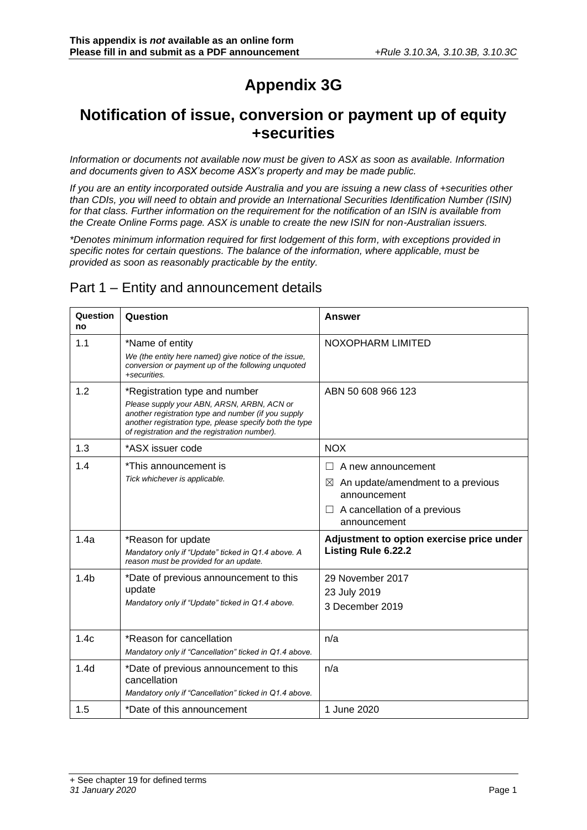# **Appendix 3G**

# **Notification of issue, conversion or payment up of equity +securities**

*Information or documents not available now must be given to ASX as soon as available. Information and documents given to ASX become ASX's property and may be made public.*

*If you are an entity incorporated outside Australia and you are issuing a new class of +securities other than CDIs, you will need to obtain and provide an International Securities Identification Number (ISIN) for that class. Further information on the requirement for the notification of an ISIN is available from the Create Online Forms page. ASX is unable to create the new ISIN for non-Australian issuers.*

*\*Denotes minimum information required for first lodgement of this form, with exceptions provided in specific notes for certain questions. The balance of the information, where applicable, must be provided as soon as reasonably practicable by the entity.*

### Part 1 – Entity and announcement details

| Question<br>no   | Question                                                                                                                                                                                                                                       | <b>Answer</b>                                                                                                                                    |
|------------------|------------------------------------------------------------------------------------------------------------------------------------------------------------------------------------------------------------------------------------------------|--------------------------------------------------------------------------------------------------------------------------------------------------|
| 1.1              | *Name of entity<br>We (the entity here named) give notice of the issue,<br>conversion or payment up of the following unquoted<br>+securities.                                                                                                  | NOXOPHARM LIMITED                                                                                                                                |
| 1.2              | *Registration type and number<br>Please supply your ABN, ARSN, ARBN, ACN or<br>another registration type and number (if you supply<br>another registration type, please specify both the type<br>of registration and the registration number). | ABN 50 608 966 123                                                                                                                               |
| 1.3              | *ASX issuer code                                                                                                                                                                                                                               | <b>NOX</b>                                                                                                                                       |
| 1.4              | *This announcement is<br>Tick whichever is applicable.                                                                                                                                                                                         | A new announcement<br>An update/amendment to a previous<br>$\boxtimes$<br>announcement<br>A cancellation of a previous<br>$\Box$<br>announcement |
| 1.4a             | *Reason for update<br>Mandatory only if "Update" ticked in Q1.4 above. A<br>reason must be provided for an update.                                                                                                                             | Adjustment to option exercise price under<br><b>Listing Rule 6.22.2</b>                                                                          |
| 1.4 <sub>b</sub> | *Date of previous announcement to this<br>update<br>Mandatory only if "Update" ticked in Q1.4 above.                                                                                                                                           | 29 November 2017<br>23 July 2019<br>3 December 2019                                                                                              |
| 1.4c             | *Reason for cancellation<br>Mandatory only if "Cancellation" ticked in Q1.4 above.                                                                                                                                                             | n/a                                                                                                                                              |
| 1.4 <sub>d</sub> | *Date of previous announcement to this<br>cancellation<br>Mandatory only if "Cancellation" ticked in Q1.4 above.                                                                                                                               | n/a                                                                                                                                              |
| 1.5              | *Date of this announcement                                                                                                                                                                                                                     | 1 June 2020                                                                                                                                      |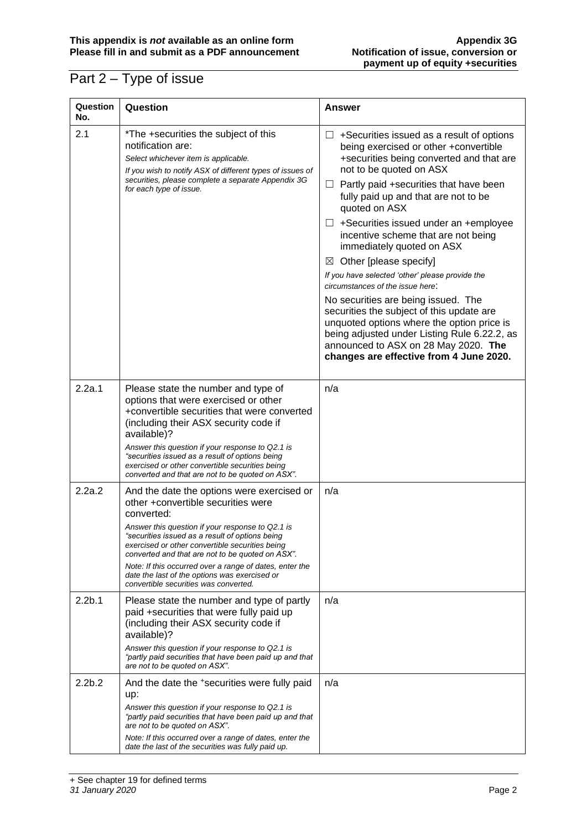# Part 2 – Type of issue

| Question<br>No.    | Question                                                                                                                                                                                                                                                                                                                                                                                                                                                          | <b>Answer</b>                                                                                                                                                                                                                                                                                                                                                                                                                                                                                                                                                                                                                                                                                                                                                                                       |
|--------------------|-------------------------------------------------------------------------------------------------------------------------------------------------------------------------------------------------------------------------------------------------------------------------------------------------------------------------------------------------------------------------------------------------------------------------------------------------------------------|-----------------------------------------------------------------------------------------------------------------------------------------------------------------------------------------------------------------------------------------------------------------------------------------------------------------------------------------------------------------------------------------------------------------------------------------------------------------------------------------------------------------------------------------------------------------------------------------------------------------------------------------------------------------------------------------------------------------------------------------------------------------------------------------------------|
| 2.1                | *The +securities the subject of this<br>notification are:<br>Select whichever item is applicable.<br>If you wish to notify ASX of different types of issues of<br>securities, please complete a separate Appendix 3G<br>for each type of issue.                                                                                                                                                                                                                   | $\Box$ +Securities issued as a result of options<br>being exercised or other +convertible<br>+securities being converted and that are<br>not to be quoted on ASX<br>$\Box$ Partly paid +securities that have been<br>fully paid up and that are not to be<br>quoted on ASX<br>$\Box$ +Securities issued under an +employee<br>incentive scheme that are not being<br>immediately quoted on ASX<br>Other [please specify]<br>$\boxtimes$<br>If you have selected 'other' please provide the<br>circumstances of the issue here:<br>No securities are being issued. The<br>securities the subject of this update are<br>unquoted options where the option price is<br>being adjusted under Listing Rule 6.22.2, as<br>announced to ASX on 28 May 2020. The<br>changes are effective from 4 June 2020. |
| 2.2a.1             | Please state the number and type of<br>options that were exercised or other<br>+convertible securities that were converted<br>(including their ASX security code if<br>available)?<br>Answer this question if your response to Q2.1 is<br>"securities issued as a result of options being<br>exercised or other convertible securities being<br>converted and that are not to be quoted on ASX".                                                                  | n/a                                                                                                                                                                                                                                                                                                                                                                                                                                                                                                                                                                                                                                                                                                                                                                                                 |
| 2.2a.2             | And the date the options were exercised or<br>other +convertible securities were<br>converted:<br>Answer this question if your response to Q2.1 is<br>"securities issued as a result of options being<br>exercised or other convertible securities being<br>converted and that are not to be quoted on ASX".<br>Note: If this occurred over a range of dates, enter the<br>date the last of the options was exercised or<br>convertible securities was converted. | n/a                                                                                                                                                                                                                                                                                                                                                                                                                                                                                                                                                                                                                                                                                                                                                                                                 |
| 2.2 <sub>b.1</sub> | Please state the number and type of partly<br>paid +securities that were fully paid up<br>(including their ASX security code if<br>available)?<br>Answer this question if your response to Q2.1 is<br>"partly paid securities that have been paid up and that<br>are not to be quoted on ASX".                                                                                                                                                                    | n/a                                                                                                                                                                                                                                                                                                                                                                                                                                                                                                                                                                                                                                                                                                                                                                                                 |
| 2.2 <sub>b.2</sub> | And the date the +securities were fully paid<br>up:<br>Answer this question if your response to Q2.1 is<br>"partly paid securities that have been paid up and that<br>are not to be quoted on ASX".<br>Note: If this occurred over a range of dates, enter the<br>date the last of the securities was fully paid up.                                                                                                                                              | n/a                                                                                                                                                                                                                                                                                                                                                                                                                                                                                                                                                                                                                                                                                                                                                                                                 |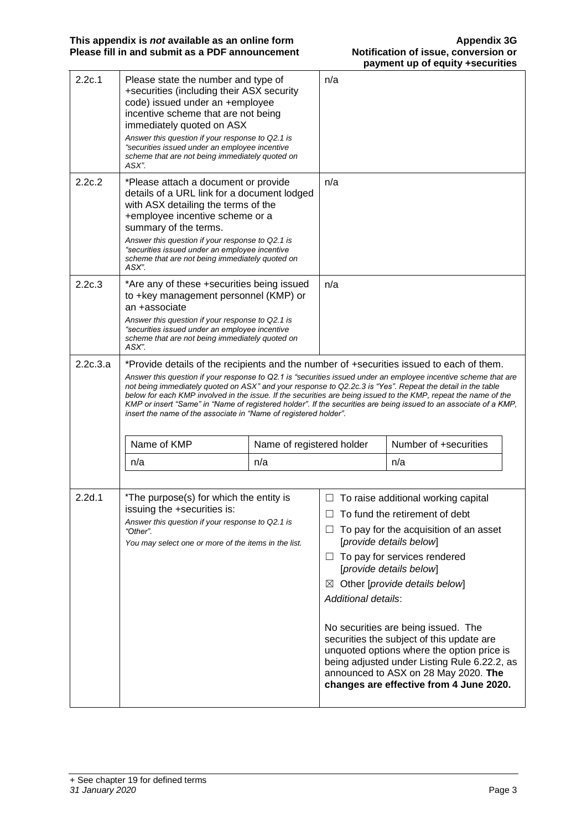| 2.2c.1   | Please state the number and type of<br>+securities (including their ASX security<br>code) issued under an +employee<br>incentive scheme that are not being<br>immediately quoted on ASX<br>Answer this question if your response to Q2.1 is<br>"securities issued under an employee incentive<br>scheme that are not being immediately quoted on<br>ASX". |                                                                                                                                                                                                                                              | n/a                                          |                                                                                                                                                                                                                                                                                                                                                                                                                                                                                                             |
|----------|-----------------------------------------------------------------------------------------------------------------------------------------------------------------------------------------------------------------------------------------------------------------------------------------------------------------------------------------------------------|----------------------------------------------------------------------------------------------------------------------------------------------------------------------------------------------------------------------------------------------|----------------------------------------------|-------------------------------------------------------------------------------------------------------------------------------------------------------------------------------------------------------------------------------------------------------------------------------------------------------------------------------------------------------------------------------------------------------------------------------------------------------------------------------------------------------------|
| 2.2c.2   | *Please attach a document or provide<br>details of a URL link for a document lodged<br>with ASX detailing the terms of the<br>+employee incentive scheme or a<br>summary of the terms.<br>Answer this question if your response to Q2.1 is<br>"securities issued under an employee incentive<br>scheme that are not being immediately quoted on<br>ASX".  |                                                                                                                                                                                                                                              | n/a                                          |                                                                                                                                                                                                                                                                                                                                                                                                                                                                                                             |
| 2.2c.3   | an +associate<br>ASX".                                                                                                                                                                                                                                                                                                                                    | *Are any of these +securities being issued<br>to +key management personnel (KMP) or<br>Answer this question if your response to Q2.1 is<br>"securities issued under an employee incentive<br>scheme that are not being immediately quoted on |                                              |                                                                                                                                                                                                                                                                                                                                                                                                                                                                                                             |
| 2.2c.3.a | *Provide details of the recipients and the number of +securities issued to each of them.<br>not being immediately quoted on ASX" and your response to Q2.2c.3 is "Yes". Repeat the detail in the table<br>insert the name of the associate in "Name of registered holder".                                                                                |                                                                                                                                                                                                                                              |                                              | Answer this question if your response to Q2.1 is "securities issued under an employee incentive scheme that are<br>below for each KMP involved in the issue. If the securities are being issued to the KMP, repeat the name of the<br>KMP or insert "Same" in "Name of registered holder". If the securities are being issued to an associate of a KMP,                                                                                                                                                     |
|          | Name of KMP                                                                                                                                                                                                                                                                                                                                               | Name of registered holder                                                                                                                                                                                                                    |                                              | Number of +securities                                                                                                                                                                                                                                                                                                                                                                                                                                                                                       |
|          | n/a                                                                                                                                                                                                                                                                                                                                                       | n/a                                                                                                                                                                                                                                          |                                              | n/a                                                                                                                                                                                                                                                                                                                                                                                                                                                                                                         |
|          |                                                                                                                                                                                                                                                                                                                                                           |                                                                                                                                                                                                                                              |                                              |                                                                                                                                                                                                                                                                                                                                                                                                                                                                                                             |
| 2.2d.1   | *The purpose(s) for which the entity is<br>issuing the +securities is:<br>Answer this question if your response to Q2.1 is<br>"Other".<br>You may select one or more of the items in the list.                                                                                                                                                            |                                                                                                                                                                                                                                              | ப<br>ப<br>$\boxtimes$<br>Additional details: | To raise additional working capital<br>To fund the retirement of debt<br>To pay for the acquisition of an asset<br>[provide details below]<br>To pay for services rendered<br>[provide details below]<br>Other [provide details below]<br>No securities are being issued. The<br>securities the subject of this update are<br>unquoted options where the option price is<br>being adjusted under Listing Rule 6.22.2, as<br>announced to ASX on 28 May 2020. The<br>changes are effective from 4 June 2020. |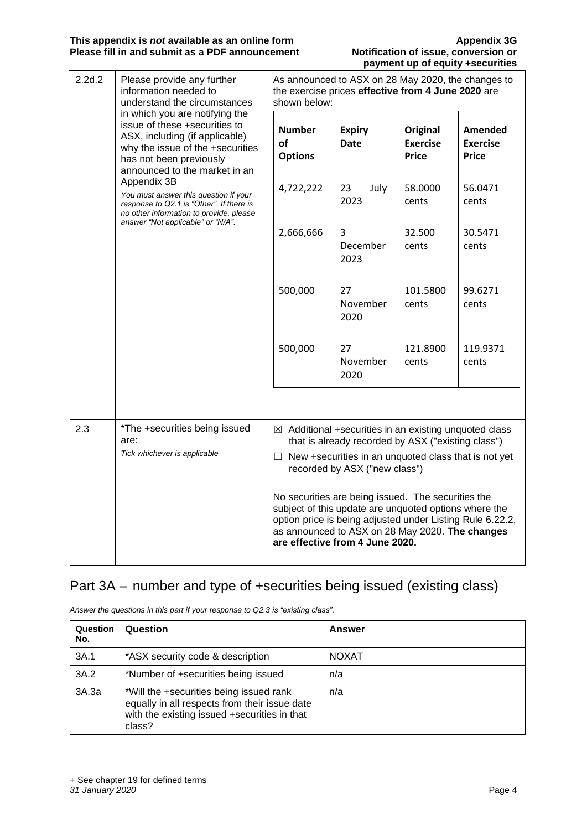| 2.2d.2<br>Please provide any further<br>information needed to<br>understand the circumstances<br>in which you are notifying the<br>issue of these +securities to<br>ASX, including (if applicable)<br>why the issue of the +securities<br>has not been previously<br>announced to the market in an<br>Appendix 3B<br>You must answer this question if your<br>response to Q2.1 is "Other". If there is<br>no other information to provide, please<br>answer "Not applicable" or "N/A". |                                                                       |                                                                                    | As announced to ASX on 28 May 2020, the changes to<br>the exercise prices effective from 4 June 2020 are<br>shown below: |                                                                                                                                                                                                                                                                                                                                                                                             |                                                   |  |
|----------------------------------------------------------------------------------------------------------------------------------------------------------------------------------------------------------------------------------------------------------------------------------------------------------------------------------------------------------------------------------------------------------------------------------------------------------------------------------------|-----------------------------------------------------------------------|------------------------------------------------------------------------------------|--------------------------------------------------------------------------------------------------------------------------|---------------------------------------------------------------------------------------------------------------------------------------------------------------------------------------------------------------------------------------------------------------------------------------------------------------------------------------------------------------------------------------------|---------------------------------------------------|--|
|                                                                                                                                                                                                                                                                                                                                                                                                                                                                                        |                                                                       | <b>Number</b><br>of<br><b>Options</b>                                              | <b>Expiry</b><br><b>Date</b>                                                                                             | <b>Original</b><br><b>Exercise</b><br><b>Price</b>                                                                                                                                                                                                                                                                                                                                          | <b>Amended</b><br><b>Exercise</b><br><b>Price</b> |  |
|                                                                                                                                                                                                                                                                                                                                                                                                                                                                                        |                                                                       | 4,722,222                                                                          | 23<br>July<br>2023                                                                                                       | 58.0000<br>cents                                                                                                                                                                                                                                                                                                                                                                            | 56.0471<br>cents                                  |  |
|                                                                                                                                                                                                                                                                                                                                                                                                                                                                                        |                                                                       | 2,666,666                                                                          | 3<br>December<br>2023                                                                                                    | 32.500<br>cents                                                                                                                                                                                                                                                                                                                                                                             | 30.5471<br>cents                                  |  |
|                                                                                                                                                                                                                                                                                                                                                                                                                                                                                        |                                                                       | 500,000                                                                            | 27<br>November<br>2020                                                                                                   | 101.5800<br>cents                                                                                                                                                                                                                                                                                                                                                                           | 99.6271<br>cents                                  |  |
|                                                                                                                                                                                                                                                                                                                                                                                                                                                                                        |                                                                       | 500,000                                                                            | 27<br>November<br>2020                                                                                                   | 121.8900<br>cents                                                                                                                                                                                                                                                                                                                                                                           | 119.9371<br>cents                                 |  |
|                                                                                                                                                                                                                                                                                                                                                                                                                                                                                        |                                                                       |                                                                                    |                                                                                                                          |                                                                                                                                                                                                                                                                                                                                                                                             |                                                   |  |
| 2.3                                                                                                                                                                                                                                                                                                                                                                                                                                                                                    | *The +securities being issued<br>are:<br>Tick whichever is applicable | $\Box$                                                                             |                                                                                                                          | $\boxtimes$ Additional +securities in an existing unquoted class<br>that is already recorded by ASX ("existing class")<br>New +securities in an unquoted class that is not yet<br>recorded by ASX ("new class")<br>No securities are being issued. The securities the<br>subject of this update are unquoted options where the<br>option price is being adjusted under Listing Rule 6.22.2, |                                                   |  |
|                                                                                                                                                                                                                                                                                                                                                                                                                                                                                        |                                                                       | as announced to ASX on 28 May 2020. The changes<br>are effective from 4 June 2020. |                                                                                                                          |                                                                                                                                                                                                                                                                                                                                                                                             |                                                   |  |

## Part 3A – number and type of +securities being issued (existing class)

| Question<br>No. | Question                                                                                                                                           | Answer |
|-----------------|----------------------------------------------------------------------------------------------------------------------------------------------------|--------|
| 3A.1            | *ASX security code & description                                                                                                                   | NOXAT  |
| 3A.2            | *Number of +securities being issued                                                                                                                | n/a    |
| 3A.3a           | *Will the +securities being issued rank<br>equally in all respects from their issue date<br>with the existing issued +securities in that<br>class? | n/a    |

*Answer the questions in this part if your response to Q2.3 is "existing class".*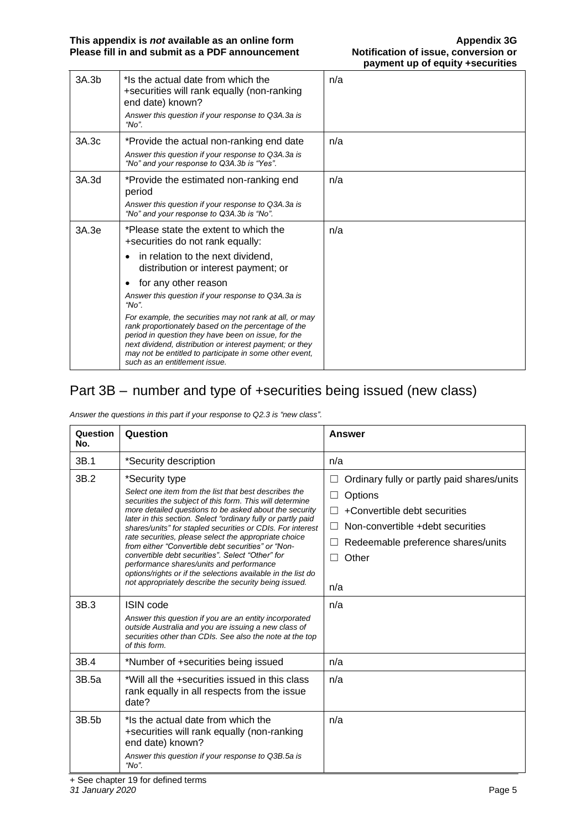| 3A.3b | *Is the actual date from which the<br>+securities will rank equally (non-ranking<br>end date) known?<br>Answer this question if your response to Q3A.3a is<br>"No".                                                                                                                                                           | n/a |
|-------|-------------------------------------------------------------------------------------------------------------------------------------------------------------------------------------------------------------------------------------------------------------------------------------------------------------------------------|-----|
| 3A.3c | *Provide the actual non-ranking end date<br>Answer this question if your response to Q3A.3a is<br>"No" and your response to Q3A.3b is "Yes".                                                                                                                                                                                  | n/a |
| 3A.3d | *Provide the estimated non-ranking end<br>period<br>Answer this question if your response to Q3A.3a is<br>"No" and your response to Q3A.3b is "No".                                                                                                                                                                           | n/a |
| 3A.3e | *Please state the extent to which the<br>+securities do not rank equally:<br>in relation to the next dividend,<br>distribution or interest payment; or<br>for any other reason<br>٠<br>Answer this question if your response to Q3A.3a is<br>" $No"$                                                                          | n/a |
|       | For example, the securities may not rank at all, or may<br>rank proportionately based on the percentage of the<br>period in question they have been on issue, for the<br>next dividend, distribution or interest payment; or they<br>may not be entitled to participate in some other event,<br>such as an entitlement issue. |     |

# Part 3B – number and type of +securities being issued (new class)

*Answer the questions in this part if your response to Q2.3 is "new class".*

| Question<br>No. | Question                                                                                                                                                                                                                                                                                                                                                                                                                                                                                                                                                                                                                                                            | <b>Answer</b>                                                                                                                                                                                                             |
|-----------------|---------------------------------------------------------------------------------------------------------------------------------------------------------------------------------------------------------------------------------------------------------------------------------------------------------------------------------------------------------------------------------------------------------------------------------------------------------------------------------------------------------------------------------------------------------------------------------------------------------------------------------------------------------------------|---------------------------------------------------------------------------------------------------------------------------------------------------------------------------------------------------------------------------|
| 3B.1            | *Security description                                                                                                                                                                                                                                                                                                                                                                                                                                                                                                                                                                                                                                               | n/a                                                                                                                                                                                                                       |
| 3B.2            | *Security type<br>Select one item from the list that best describes the<br>securities the subject of this form. This will determine<br>more detailed questions to be asked about the security<br>later in this section. Select "ordinary fully or partly paid<br>shares/units" for stapled securities or CDIs. For interest<br>rate securities, please select the appropriate choice<br>from either "Convertible debt securities" or "Non-<br>convertible debt securities". Select "Other" for<br>performance shares/units and performance<br>options/rights or if the selections available in the list do<br>not appropriately describe the security being issued. | Ordinary fully or partly paid shares/units<br>Options<br>ш<br>+Convertible debt securities<br>П<br>Non-convertible +debt securities<br>$\perp$<br>Redeemable preference shares/units<br>ш<br>Other<br>$\mathsf{L}$<br>n/a |
| 3B.3            | <b>ISIN</b> code<br>Answer this question if you are an entity incorporated<br>outside Australia and you are issuing a new class of<br>securities other than CDIs. See also the note at the top<br>of this form.                                                                                                                                                                                                                                                                                                                                                                                                                                                     | n/a                                                                                                                                                                                                                       |
| 3B.4            | *Number of +securities being issued                                                                                                                                                                                                                                                                                                                                                                                                                                                                                                                                                                                                                                 | n/a                                                                                                                                                                                                                       |
| 3B.5a           | *Will all the +securities issued in this class<br>rank equally in all respects from the issue<br>date?                                                                                                                                                                                                                                                                                                                                                                                                                                                                                                                                                              | n/a                                                                                                                                                                                                                       |
| 3B.5b           | *Is the actual date from which the<br>+securities will rank equally (non-ranking<br>end date) known?<br>Answer this question if your response to Q3B.5a is<br>" $No$ ".                                                                                                                                                                                                                                                                                                                                                                                                                                                                                             | n/a                                                                                                                                                                                                                       |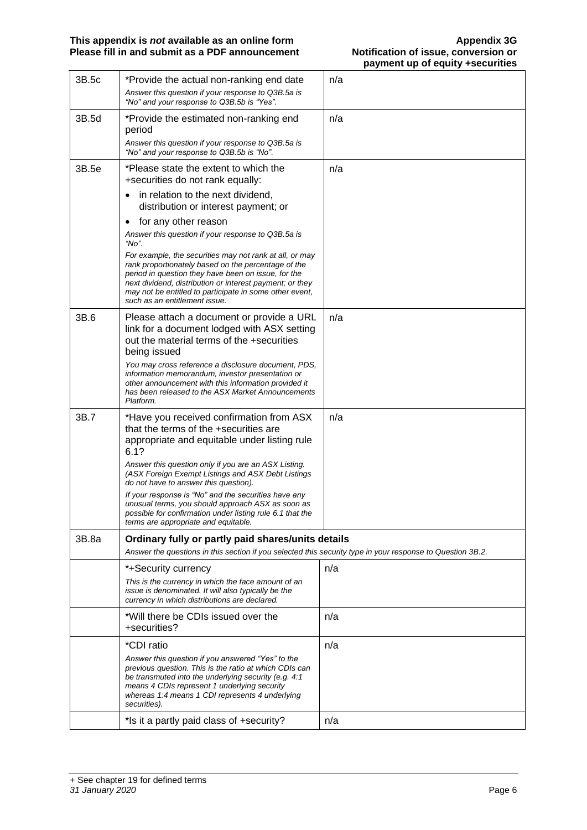| 3B.5c | *Provide the actual non-ranking end date                                                                                                                                                                                                                                                                                      | n/a |
|-------|-------------------------------------------------------------------------------------------------------------------------------------------------------------------------------------------------------------------------------------------------------------------------------------------------------------------------------|-----|
|       | Answer this question if your response to Q3B.5a is<br>"No" and your response to Q3B.5b is "Yes".                                                                                                                                                                                                                              |     |
| 3B.5d | *Provide the estimated non-ranking end<br>period                                                                                                                                                                                                                                                                              | n/a |
|       | Answer this question if your response to Q3B.5a is<br>"No" and your response to Q3B.5b is "No".                                                                                                                                                                                                                               |     |
| 3B.5e | *Please state the extent to which the                                                                                                                                                                                                                                                                                         | n/a |
|       | +securities do not rank equally:                                                                                                                                                                                                                                                                                              |     |
|       | in relation to the next dividend,                                                                                                                                                                                                                                                                                             |     |
|       | distribution or interest payment; or                                                                                                                                                                                                                                                                                          |     |
|       | for any other reason<br>٠                                                                                                                                                                                                                                                                                                     |     |
|       | Answer this question if your response to Q3B.5a is<br>"No".                                                                                                                                                                                                                                                                   |     |
|       | For example, the securities may not rank at all, or may<br>rank proportionately based on the percentage of the<br>period in question they have been on issue, for the<br>next dividend, distribution or interest payment; or they<br>may not be entitled to participate in some other event,<br>such as an entitlement issue. |     |
| 3B.6  | Please attach a document or provide a URL<br>link for a document lodged with ASX setting                                                                                                                                                                                                                                      | n/a |
|       | out the material terms of the +securities<br>being issued                                                                                                                                                                                                                                                                     |     |
|       | You may cross reference a disclosure document, PDS,<br>information memorandum, investor presentation or<br>other announcement with this information provided it<br>has been released to the ASX Market Announcements<br>Platform.                                                                                             |     |
| 3B.7  | *Have you received confirmation from ASX                                                                                                                                                                                                                                                                                      | n/a |
|       | that the terms of the +securities are<br>appropriate and equitable under listing rule<br>6.1?                                                                                                                                                                                                                                 |     |
|       | Answer this question only if you are an ASX Listing.<br>(ASX Foreign Exempt Listings and ASX Debt Listings<br>do not have to answer this question).                                                                                                                                                                           |     |
|       | If your response is "No" and the securities have any<br>unusual terms, you should approach ASX as soon as<br>possible for confirmation under listing rule 6.1 that the<br>terms are appropriate and equitable.                                                                                                                |     |
| 3B.8a | Ordinary fully or partly paid shares/units details                                                                                                                                                                                                                                                                            |     |
|       | Answer the questions in this section if you selected this security type in your response to Question 3B.2.                                                                                                                                                                                                                    |     |
|       | *+Security currency                                                                                                                                                                                                                                                                                                           | n/a |
|       | This is the currency in which the face amount of an<br>issue is denominated. It will also typically be the<br>currency in which distributions are declared.                                                                                                                                                                   |     |
|       | *Will there be CDIs issued over the<br>+securities?                                                                                                                                                                                                                                                                           | n/a |
|       | *CDI ratio                                                                                                                                                                                                                                                                                                                    | n/a |
|       | Answer this question if you answered "Yes" to the<br>previous question. This is the ratio at which CDIs can<br>be transmuted into the underlying security (e.g. 4:1<br>means 4 CDIs represent 1 underlying security<br>whereas 1:4 means 1 CDI represents 4 underlying<br>securities).                                        |     |
|       | *Is it a partly paid class of +security?                                                                                                                                                                                                                                                                                      | n/a |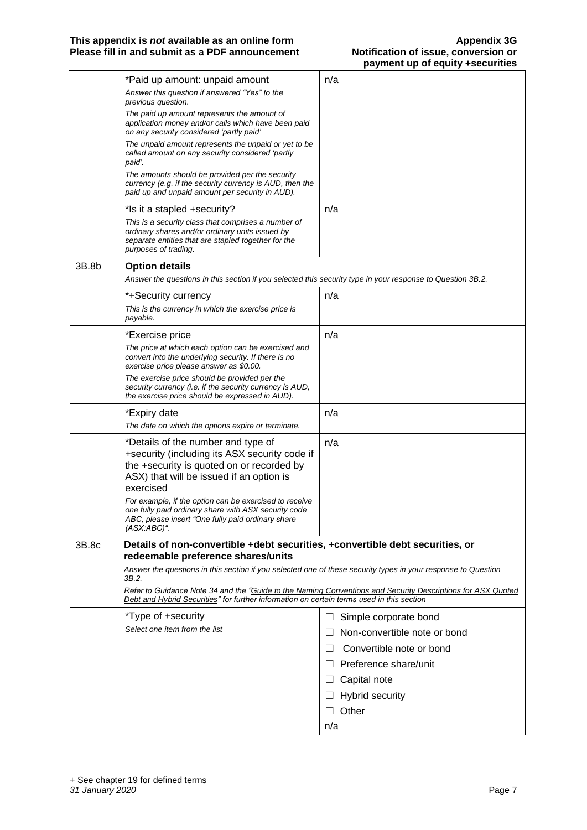|       | *Paid up amount: unpaid amount                                                                                                                                                        | n/a                                                                                                         |
|-------|---------------------------------------------------------------------------------------------------------------------------------------------------------------------------------------|-------------------------------------------------------------------------------------------------------------|
|       | Answer this question if answered "Yes" to the<br>previous question.                                                                                                                   |                                                                                                             |
|       | The paid up amount represents the amount of<br>application money and/or calls which have been paid<br>on any security considered 'partly paid'                                        |                                                                                                             |
|       | The unpaid amount represents the unpaid or yet to be<br>called amount on any security considered 'partly<br>paid'.                                                                    |                                                                                                             |
|       | The amounts should be provided per the security<br>currency (e.g. if the security currency is AUD, then the<br>paid up and unpaid amount per security in AUD).                        |                                                                                                             |
|       | *Is it a stapled +security?                                                                                                                                                           | n/a                                                                                                         |
|       | This is a security class that comprises a number of<br>ordinary shares and/or ordinary units issued by<br>separate entities that are stapled together for the<br>purposes of trading. |                                                                                                             |
| 3B.8b | <b>Option details</b>                                                                                                                                                                 |                                                                                                             |
|       | Answer the questions in this section if you selected this security type in your response to Question 3B.2.                                                                            |                                                                                                             |
|       | *+Security currency                                                                                                                                                                   | n/a                                                                                                         |
|       | This is the currency in which the exercise price is<br>payable.                                                                                                                       |                                                                                                             |
|       | *Exercise price                                                                                                                                                                       | n/a                                                                                                         |
|       | The price at which each option can be exercised and<br>convert into the underlying security. If there is no<br>exercise price please answer as \$0.00.                                |                                                                                                             |
|       | The exercise price should be provided per the<br>security currency (i.e. if the security currency is AUD,<br>the exercise price should be expressed in AUD).                          |                                                                                                             |
|       | *Expiry date                                                                                                                                                                          | n/a                                                                                                         |
|       | The date on which the options expire or terminate.                                                                                                                                    |                                                                                                             |
|       | *Details of the number and type of                                                                                                                                                    | n/a                                                                                                         |
|       | +security (including its ASX security code if<br>the +security is quoted on or recorded by<br>ASX) that will be issued if an option is<br>exercised                                   |                                                                                                             |
|       | For example, if the option can be exercised to receive                                                                                                                                |                                                                                                             |
|       | one fully paid ordinary share with ASX security code<br>ABC, please insert "One fully paid ordinary share<br>$(ASX:ABC)^*$ .                                                          |                                                                                                             |
| 3B.8c | Details of non-convertible +debt securities, +convertible debt securities, or<br>redeemable preference shares/units                                                                   |                                                                                                             |
|       | Answer the questions in this section if you selected one of these security types in your response to Question<br>3B.2.                                                                |                                                                                                             |
|       | Debt and Hybrid Securities" for further information on certain terms used in this section                                                                                             | Refer to Guidance Note 34 and the "Guide to the Naming Conventions and Security Descriptions for ASX Quoted |
|       | *Type of +security                                                                                                                                                                    | Simple corporate bond<br>$\Box$                                                                             |
|       | Select one item from the list                                                                                                                                                         | Non-convertible note or bond<br>$\Box$                                                                      |
|       |                                                                                                                                                                                       | Convertible note or bond<br>$\Box$                                                                          |
|       |                                                                                                                                                                                       | $\Box$ Preference share/unit                                                                                |
|       |                                                                                                                                                                                       | Capital note<br>ப                                                                                           |
|       |                                                                                                                                                                                       | <b>Hybrid security</b><br>$\sqcup$                                                                          |
|       |                                                                                                                                                                                       | Other<br>$\perp$                                                                                            |
|       |                                                                                                                                                                                       | n/a                                                                                                         |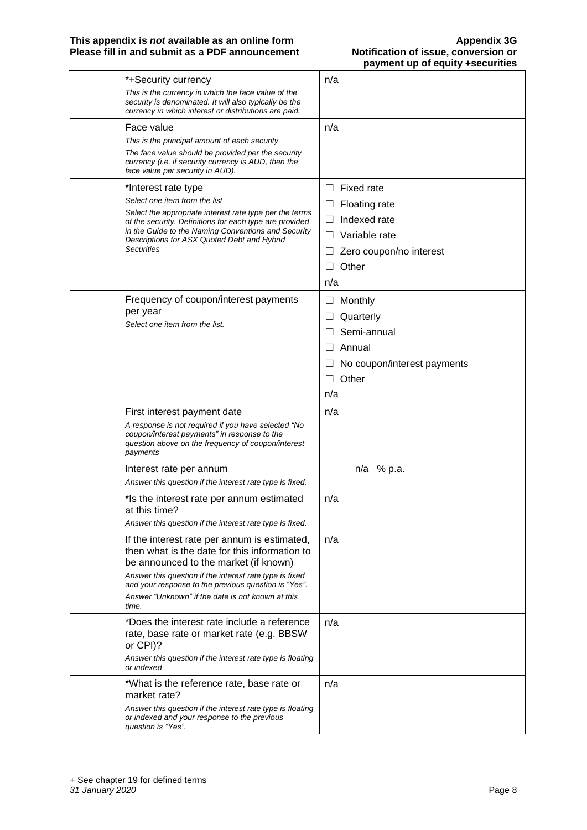| *+Security currency                                                                                                                                                    | n/a                         |
|------------------------------------------------------------------------------------------------------------------------------------------------------------------------|-----------------------------|
| This is the currency in which the face value of the<br>security is denominated. It will also typically be the<br>currency in which interest or distributions are paid. |                             |
| Face value                                                                                                                                                             | n/a                         |
| This is the principal amount of each security.                                                                                                                         |                             |
| The face value should be provided per the security<br>currency (i.e. if security currency is AUD, then the<br>face value per security in AUD).                         |                             |
| *Interest rate type                                                                                                                                                    | <b>Fixed rate</b><br>П      |
| Select one item from the list                                                                                                                                          | Floating rate<br>Ш          |
| Select the appropriate interest rate type per the terms<br>of the security. Definitions for each type are provided                                                     | Indexed rate<br>⊔           |
| in the Guide to the Naming Conventions and Security<br>Descriptions for ASX Quoted Debt and Hybrid                                                                     | □<br>Variable rate          |
| <b>Securities</b>                                                                                                                                                      | Zero coupon/no interest     |
|                                                                                                                                                                        | Other                       |
|                                                                                                                                                                        | n/a                         |
| Frequency of coupon/interest payments                                                                                                                                  | Monthly<br>⊔                |
| per year                                                                                                                                                               | Quarterly                   |
| Select one item from the list.                                                                                                                                         | Semi-annual                 |
|                                                                                                                                                                        | Annual<br>$\Box$            |
|                                                                                                                                                                        | No coupon/interest payments |
|                                                                                                                                                                        | Other                       |
|                                                                                                                                                                        | n/a                         |
| First interest payment date                                                                                                                                            | n/a                         |
|                                                                                                                                                                        |                             |
| A response is not required if you have selected "No                                                                                                                    |                             |
| coupon/interest payments" in response to the<br>question above on the frequency of coupon/interest<br>payments                                                         |                             |
| Interest rate per annum                                                                                                                                                | n/a % p.a.                  |
| Answer this question if the interest rate type is fixed.                                                                                                               |                             |
| *Is the interest rate per annum estimated<br>at this time?                                                                                                             | n/a                         |
| Answer this question if the interest rate type is fixed.                                                                                                               |                             |
| If the interest rate per annum is estimated,<br>then what is the date for this information to                                                                          | n/a                         |
| be announced to the market (if known)<br>Answer this question if the interest rate type is fixed<br>and your response to the previous question is "Yes".               |                             |
| Answer "Unknown" if the date is not known at this<br>time.                                                                                                             |                             |
| *Does the interest rate include a reference                                                                                                                            | n/a                         |
| rate, base rate or market rate (e.g. BBSW<br>or CPI)?                                                                                                                  |                             |
| Answer this question if the interest rate type is floating<br>or indexed                                                                                               |                             |
| *What is the reference rate, base rate or<br>market rate?                                                                                                              | n/a                         |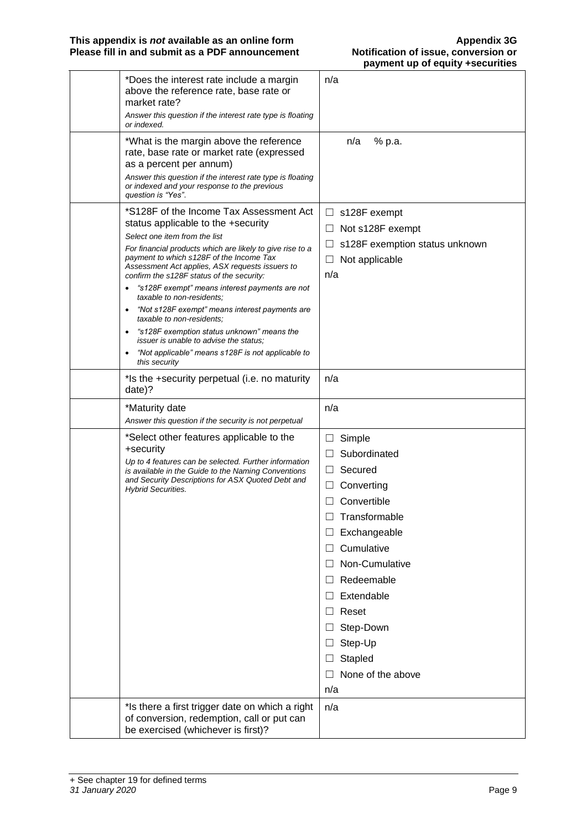| *Does the interest rate include a margin<br>above the reference rate, base rate or<br>market rate?<br>Answer this question if the interest rate type is floating<br>or indexed.                                                                                                                                                                                                                                                                                                                                                                                                                                                                                                                                | n/a                                                                                                                                                                                                                                                                                                                        |
|----------------------------------------------------------------------------------------------------------------------------------------------------------------------------------------------------------------------------------------------------------------------------------------------------------------------------------------------------------------------------------------------------------------------------------------------------------------------------------------------------------------------------------------------------------------------------------------------------------------------------------------------------------------------------------------------------------------|----------------------------------------------------------------------------------------------------------------------------------------------------------------------------------------------------------------------------------------------------------------------------------------------------------------------------|
| *What is the margin above the reference<br>rate, base rate or market rate (expressed<br>as a percent per annum)<br>Answer this question if the interest rate type is floating<br>or indexed and your response to the previous<br>question is "Yes".                                                                                                                                                                                                                                                                                                                                                                                                                                                            | n/a<br>% p.a.                                                                                                                                                                                                                                                                                                              |
| *S128F of the Income Tax Assessment Act<br>status applicable to the +security<br>Select one item from the list<br>For financial products which are likely to give rise to a<br>payment to which s128F of the Income Tax<br>Assessment Act applies, ASX requests issuers to<br>confirm the s128F status of the security:<br>"s128F exempt" means interest payments are not<br>$\bullet$<br>taxable to non-residents:<br>"Not s128F exempt" means interest payments are<br>$\bullet$<br>taxable to non-residents:<br>"s128F exemption status unknown" means the<br>$\bullet$<br><i>issuer is unable to advise the status:</i><br>"Not applicable" means s128F is not applicable to<br>$\bullet$<br>this security | $\Box$ s128F exempt<br>Not s128F exempt<br>$\Box$<br>s128F exemption status unknown<br>Ш<br>$\Box$<br>Not applicable<br>n/a                                                                                                                                                                                                |
| *Is the +security perpetual (i.e. no maturity<br>date)?                                                                                                                                                                                                                                                                                                                                                                                                                                                                                                                                                                                                                                                        | n/a                                                                                                                                                                                                                                                                                                                        |
| *Maturity date                                                                                                                                                                                                                                                                                                                                                                                                                                                                                                                                                                                                                                                                                                 | n/a                                                                                                                                                                                                                                                                                                                        |
| Answer this question if the security is not perpetual                                                                                                                                                                                                                                                                                                                                                                                                                                                                                                                                                                                                                                                          |                                                                                                                                                                                                                                                                                                                            |
| *Select other features applicable to the<br>+security<br>Up to 4 features can be selected. Further information<br>is available in the Guide to the Naming Conventions<br>and Security Descriptions for ASX Quoted Debt and<br><b>Hybrid Securities.</b>                                                                                                                                                                                                                                                                                                                                                                                                                                                        | Simple<br>$\Box$<br>Subordinated<br>$\Box$<br>Secured<br>$\perp$<br>Converting<br>Convertible<br>Ш<br>Transformable<br>Exchangeable<br>Cumulative<br>$\Box$<br>Non-Cumulative<br>$\perp$<br>Redeemable<br>Extendable<br>$\Box$<br>Reset<br>□<br>Step-Down<br>Step-Up<br>Ш<br>Stapled<br>$\Box$<br>None of the above<br>n/a |
| *Is there a first trigger date on which a right<br>of conversion, redemption, call or put can<br>be exercised (whichever is first)?                                                                                                                                                                                                                                                                                                                                                                                                                                                                                                                                                                            | n/a                                                                                                                                                                                                                                                                                                                        |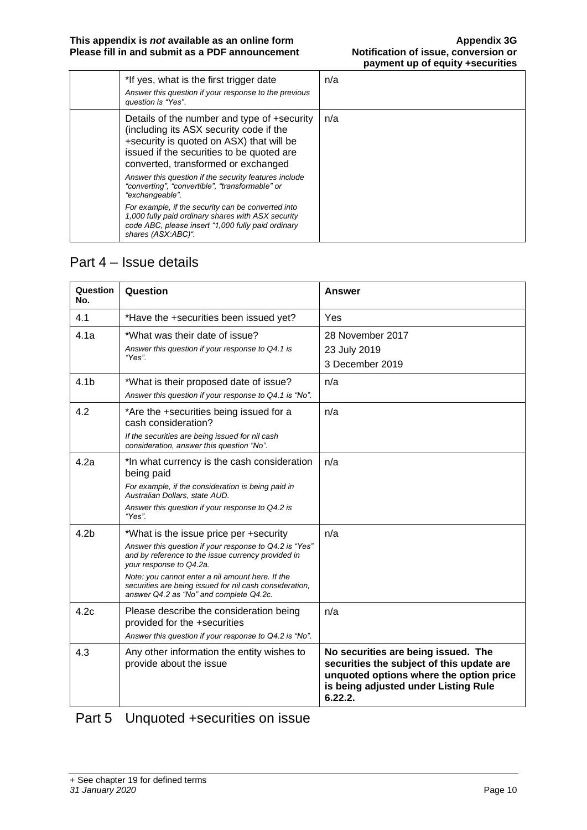| *If yes, what is the first trigger date<br>Answer this question if your response to the previous<br>question is "Yes".                                                                                                 | n/a |
|------------------------------------------------------------------------------------------------------------------------------------------------------------------------------------------------------------------------|-----|
| Details of the number and type of +security<br>(including its ASX security code if the<br>+security is quoted on ASX) that will be<br>issued if the securities to be quoted are<br>converted, transformed or exchanged | n/a |
| Answer this question if the security features include<br>"converting", "convertible", "transformable" or<br>"exchangeable".                                                                                            |     |
| For example, if the security can be converted into<br>1,000 fully paid ordinary shares with ASX security<br>code ABC, please insert "1,000 fully paid ordinary<br>shares (ASX:ABC)".                                   |     |

#### Part 4 – Issue details

| Question<br>No.  | Question                                                                                                                                                                                                                                                                                                                                    | <b>Answer</b>                                                                                                                                                                  |
|------------------|---------------------------------------------------------------------------------------------------------------------------------------------------------------------------------------------------------------------------------------------------------------------------------------------------------------------------------------------|--------------------------------------------------------------------------------------------------------------------------------------------------------------------------------|
| 4.1              | *Have the +securities been issued yet?                                                                                                                                                                                                                                                                                                      | Yes                                                                                                                                                                            |
| 4.1a             | *What was their date of issue?<br>Answer this question if your response to Q4.1 is<br>"Yes"                                                                                                                                                                                                                                                 | 28 November 2017<br>23 July 2019<br>3 December 2019                                                                                                                            |
| 4.1 <sub>b</sub> | *What is their proposed date of issue?<br>Answer this question if your response to Q4.1 is "No".                                                                                                                                                                                                                                            | n/a                                                                                                                                                                            |
| 4.2              | *Are the +securities being issued for a<br>cash consideration?<br>If the securities are being issued for nil cash<br>consideration, answer this question "No".                                                                                                                                                                              | n/a                                                                                                                                                                            |
| 4.2a             | *In what currency is the cash consideration<br>being paid<br>For example, if the consideration is being paid in<br>Australian Dollars, state AUD.<br>Answer this question if your response to Q4.2 is<br>"Yes".                                                                                                                             | n/a                                                                                                                                                                            |
| 4.2 <sub>b</sub> | *What is the issue price per +security<br>Answer this question if your response to Q4.2 is "Yes"<br>and by reference to the issue currency provided in<br>your response to Q4.2a.<br>Note: you cannot enter a nil amount here. If the<br>securities are being issued for nil cash consideration,<br>answer Q4.2 as "No" and complete Q4.2c. | n/a                                                                                                                                                                            |
| 4.2c             | Please describe the consideration being<br>provided for the +securities<br>Answer this question if your response to Q4.2 is "No".                                                                                                                                                                                                           | n/a                                                                                                                                                                            |
| 4.3              | Any other information the entity wishes to<br>provide about the issue                                                                                                                                                                                                                                                                       | No securities are being issued. The<br>securities the subject of this update are<br>unquoted options where the option price<br>is being adjusted under Listing Rule<br>6.22.2. |

### Part 5 Unquoted +securities on issue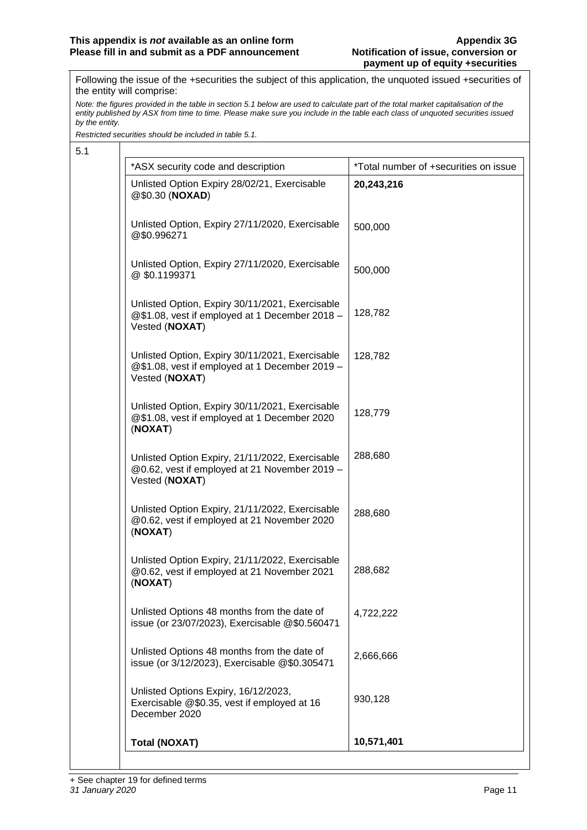Following the issue of the +securities the subject of this application, the unquoted issued +securities of the entity will comprise:

*Note: the figures provided in the table in section 5.1 below are used to calculate part of the total market capitalisation of the entity published by ASX from time to time. Please make sure you include in the table each class of unquoted securities issued by the entity.*

*Restricted securities should be included in table 5.1.*

| 5.1 |                                                                                                                     |                                       |  |
|-----|---------------------------------------------------------------------------------------------------------------------|---------------------------------------|--|
|     | *ASX security code and description                                                                                  | *Total number of +securities on issue |  |
|     | Unlisted Option Expiry 28/02/21, Exercisable<br>@\$0.30 (NOXAD)                                                     | 20,243,216                            |  |
|     | Unlisted Option, Expiry 27/11/2020, Exercisable<br>@\$0.996271                                                      | 500,000                               |  |
|     | Unlisted Option, Expiry 27/11/2020, Exercisable<br>@\$0.1199371                                                     | 500,000                               |  |
|     | Unlisted Option, Expiry 30/11/2021, Exercisable<br>@\$1.08, vest if employed at 1 December 2018 -<br>Vested (NOXAT) | 128,782                               |  |
|     | Unlisted Option, Expiry 30/11/2021, Exercisable<br>@\$1.08, vest if employed at 1 December 2019 -<br>Vested (NOXAT) | 128,782                               |  |
|     | Unlisted Option, Expiry 30/11/2021, Exercisable<br>@\$1.08, vest if employed at 1 December 2020<br>(NOXAT)          | 128,779                               |  |
|     | Unlisted Option Expiry, 21/11/2022, Exercisable<br>@0.62, vest if employed at 21 November 2019 -<br>Vested (NOXAT)  | 288,680                               |  |
|     | Unlisted Option Expiry, 21/11/2022, Exercisable<br>@0.62, vest if employed at 21 November 2020<br>(NOXAT)           | 288,680                               |  |
|     | Unlisted Option Expiry, 21/11/2022, Exercisable<br>@0.62, vest if employed at 21 November 2021<br>(NOXAT)           | 288,682                               |  |
|     | Unlisted Options 48 months from the date of<br>issue (or 23/07/2023), Exercisable @\$0.560471                       | 4,722,222                             |  |
|     | Unlisted Options 48 months from the date of<br>issue (or 3/12/2023), Exercisable @\$0.305471                        | 2,666,666                             |  |
|     | Unlisted Options Expiry, 16/12/2023,<br>Exercisable @\$0.35, vest if employed at 16<br>December 2020                | 930,128                               |  |
|     | <b>Total (NOXAT)</b>                                                                                                | 10,571,401                            |  |
|     |                                                                                                                     |                                       |  |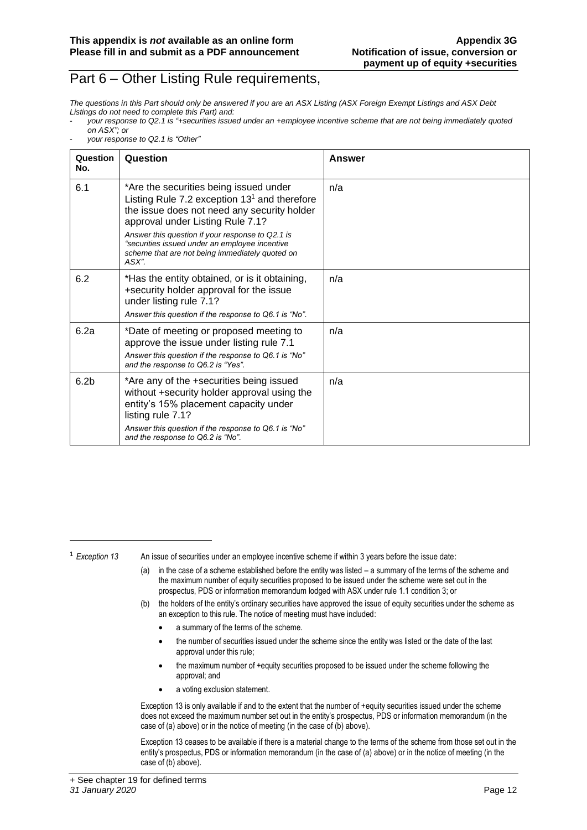#### Part 6 – Other Listing Rule requirements,

*The questions in this Part should only be answered if you are an ASX Listing (ASX Foreign Exempt Listings and ASX Debt Listings do not need to complete this Part) and:*

- *your response to Q2.1 is "+securities issued under an +employee incentive scheme that are not being immediately quoted on ASX"; or*
- *your response to Q2.1 is "Other"*

| Question<br>No.  | Question                                                                                                                                                                                                                                                                                                                                      | Answer |
|------------------|-----------------------------------------------------------------------------------------------------------------------------------------------------------------------------------------------------------------------------------------------------------------------------------------------------------------------------------------------|--------|
| 6.1              | *Are the securities being issued under<br>Listing Rule 7.2 exception $131$ and therefore<br>the issue does not need any security holder<br>approval under Listing Rule 7.1?<br>Answer this question if your response to Q2.1 is<br>"securities issued under an employee incentive<br>scheme that are not being immediately quoted on<br>ASX". | n/a    |
| 6.2              | *Has the entity obtained, or is it obtaining,<br>+security holder approval for the issue<br>under listing rule 7.1?<br>Answer this question if the response to Q6.1 is "No".                                                                                                                                                                  | n/a    |
| 6.2a             | *Date of meeting or proposed meeting to<br>approve the issue under listing rule 7.1<br>Answer this question if the response to Q6.1 is "No"<br>and the response to Q6.2 is "Yes".                                                                                                                                                             | n/a    |
| 6.2 <sub>b</sub> | *Are any of the +securities being issued<br>without +security holder approval using the<br>entity's 15% placement capacity under<br>listing rule 7.1?<br>Answer this question if the response to Q6.1 is "No"<br>and the response to Q6.2 is "No".                                                                                            | n/a    |

<sup>1</sup> *Exception 13* An issue of securities under an employee incentive scheme if within 3 years before the issue date:

- (a) in the case of a scheme established before the entity was listed a summary of the terms of the scheme and the maximum number of equity securities proposed to be issued under the scheme were set out in the prospectus, PDS or information memorandum lodged with ASX under rule 1.1 condition 3; or
- (b) the holders of the entity's ordinary securities have approved the issue of equity securities under the scheme as an exception to this rule. The notice of meeting must have included:
	- a summary of the terms of the scheme.
	- the number of securities issued under the scheme since the entity was listed or the date of the last approval under this rule;
	- the maximum number of +equity securities proposed to be issued under the scheme following the approval; and
	- a voting exclusion statement.

Exception 13 is only available if and to the extent that the number of +equity securities issued under the scheme does not exceed the maximum number set out in the entity's prospectus, PDS or information memorandum (in the case of (a) above) or in the notice of meeting (in the case of (b) above).

Exception 13 ceases to be available if there is a material change to the terms of the scheme from those set out in the entity's prospectus, PDS or information memorandum (in the case of (a) above) or in the notice of meeting (in the case of (b) above).